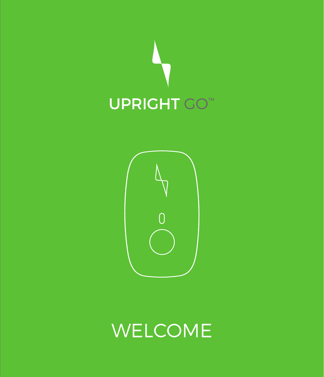



# WELCOME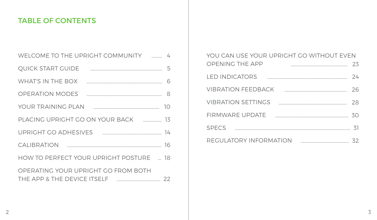# TABLE OF CONTENTS

| WELCOME TO THE UPRIGHT COMMUNITY <b>EXAMPLE</b>                                                               |
|---------------------------------------------------------------------------------------------------------------|
| <b>OUICK START GUIDE</b>                                                                                      |
| <b>WHAT'S IN THE BOX</b>                                                                                      |
| OPERATION MODES <b>CONSUMING A SET A</b> 8                                                                    |
|                                                                                                               |
| PLACING UPRIGHT GO ON YOUR BACK  13                                                                           |
| UPRIGHT GO ADHESIVES <b>With the COVID-14</b> 14                                                              |
|                                                                                                               |
| HOW TO PERFECT YOUR UPRIGHT POSTURE  18                                                                       |
| OPERATING YOUR UPRIGHT GO FROM BOTH<br>$\begin{array}{ccc}\n& 22\n\end{array}$<br>THE APP & THE DEVICE ITSELF |

| YOU CAN USE YOUR UPRIGHT GO WITHOUT EVEN |    |
|------------------------------------------|----|
| OPENING THE APP                          | 23 |
| <b>I ED INDICATORS</b>                   | 24 |
| VIBRATION FFFDBACK                       | 26 |
| <b>VIBRATION SETTINGS</b>                | 28 |
| $\sim$ 30<br>FIRMWARF UPDATE             |    |
| <b>SPECS</b>                             | 31 |
| REGULATORY INFORMATION                   |    |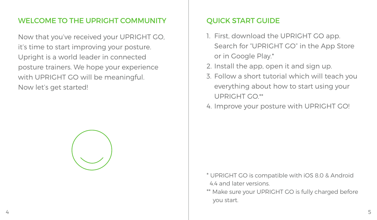# WELCOME TO THE UPRIGHT COMMUNITY **QUICK START GUIDE**

Now that you've received your UPRIGHT GO, it's time to start improving your posture. Upright is a world leader in connected posture trainers. We hope your experience with UPRIGHT GO will be meaningful. Now let's get started!



- 1. First, download the UPRIGHT GO app. Search for "UPRIGHT GO" in the App Store or in Google Play.\*
- 2. Install the app, open it and sign up.
- 3. Follow a short tutorial which will teach you everything about how to start using your UPRIGHT GO.\*\*
- 4. Improve your posture with UPRIGHT GO!

- \* UPRIGHT GO is compatible with iOS 8.0 & Android 4.4 and later versions.
- \*\* Make sure your UPRIGHT GO is fully charged before you start.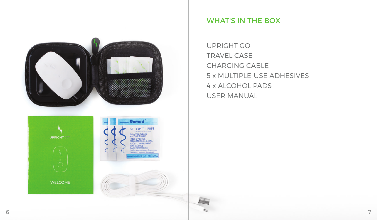

# WHAT'S IN THE BOX

UPRIGHT GO TRAVEL CASE CHARGING CABLE 5 x MULTIPLE-USE ADHESIVES 4 x ALCOHOL PADS USER MANUAL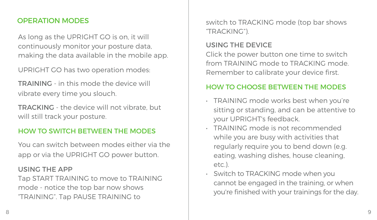As long as the UPRIGHT GO is on, it will continuously monitor your posture data, making the data available in the mobile app.

UPRIGHT GO has two operation modes:

TRAINING - in this mode the device will vibrate every time you slouch.

TRACKING - the device will not vibrate, but will still track your posture.

### HOW TO SWITCH BETWEEN THE MODES

You can switch between modes either via the app or via the UPRIGHT GO power button.

#### USING THE APP

Tap START TRAINING to move to TRAINING mode - notice the top bar now shows "TRAINING". Tap PAUSE TRAINING to

**OPERATION MODES** Switch to TRACKING mode (top bar shows "TRACKING").

### USING THE DEVICE

Click the power button one time to switch from TRAINING mode to TRACKING mode. Remember to calibrate your device first.

### HOW TO CHOOSE BETWEEN THE MODES

- TRAINING mode works best when you're sitting or standing, and can be attentive to your UPRIGHT's feedback.
- TRAINING mode is not recommended while you are busy with activities that regularly require you to bend down (e.g. eating, washing dishes, house cleaning, etc.).
- Switch to TRACKING mode when you cannot be engaged in the training, or when you're finished with your trainings for the day.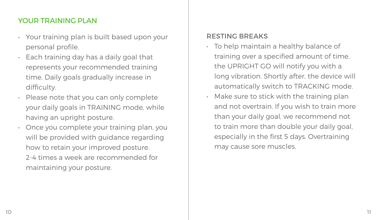# YOUR TRAINING PLAN

- Your training plan is built based upon your personal profile.
- Each training day has a daily goal that represents your recommended training time. Daily goals gradually increase in difficulty.
- Please note that you can only complete your daily goals in TRAINING mode, while having an upright posture.
- Once you complete your training plan, you will be provided with guidance regarding how to retain your improved posture. 2-4 times a week are recommended for maintaining your posture.

### RESTING BREAKS

- To help maintain a healthy balance of training over a specified amount of time, the UPRIGHT GO will notify you with a long vibration. Shortly after, the device will automatically switch to TRACKING mode.
- Make sure to stick with the training plan and not overtrain. If you wish to train more than your daily goal, we recommend not to train more than double your daily goal, especially in the first 5 days. Overtraining may cause sore muscles.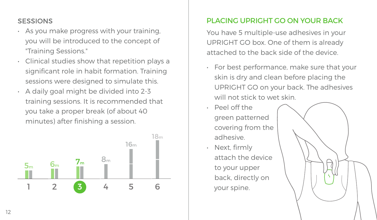- As you make progress with your training, you will be introduced to the concept of "Training Sessions."
- Clinical studies show that repetition plays a significant role in habit formation. Training sessions were designed to simulate this.
- A daily goal might be divided into 2-3 training sessions. It is recommended that you take a proper break (of about 40 minutes) after finishing a session.



# SESSIONS PLACING UPRIGHT GO ON YOUR BACK

You have 5 multiple-use adhesives in your UPRIGHT GO box. One of them is already attached to the back side of the device.

- For best performance, make sure that your skin is dry and clean before placing the UPRIGHT GO on your back. The adhesives will not stick to wet skin.
- Peel off the green patterned covering from the adhesive.
- Next, firmly attach the device to your upper back, directly on your spine.

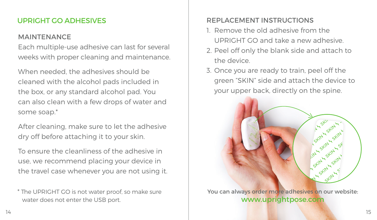## **MAINTENANCE**

Each multiple-use adhesive can last for several weeks with proper cleaning and maintenance.

When needed, the adhesives should be cleaned with the alcohol pads included in the box, or any standard alcohol pad. You can also clean with a few drops of water and some soap.\*

After cleaning, make sure to let the adhesive dry off before attaching it to your skin.

To ensure the cleanliness of the adhesive in use, we recommend placing your device in the travel case whenever you are not using it.

\* The UPRIGHT GO is not water proof, so make sure water does not enter the USB port.

# UPRIGHT GO ADHESIVES **REPLACEMENT INSTRUCTIONS**

- 1. Remove the old adhesive from the UPRIGHT GO and take a new adhesive.
- 2. Peel off only the blank side and attach to the device.
- 3. Once you are ready to train, peel off the green "SKIN" side and attach the device to your upper back, directly on the spine.

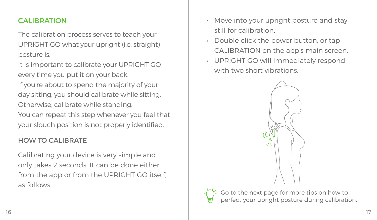The calibration process serves to teach your UPRIGHT GO what your upright (i.e. straight) posture is.

It is important to calibrate your UPRIGHT GO every time you put it on your back.

If you're about to spend the majority of your day sitting, you should calibrate while sitting. Otherwise, calibrate while standing. You can repeat this step whenever you feel that

your slouch position is not properly identified.

# HOW TO CALIBRATE

Calibrating your device is very simple and only takes 2 seconds. It can be done either from the app or from the UPRIGHT GO itself. as follows:

- **CALIBRATION CALIBRATION** *CALIBRATION CALIBRATION* still for calibration.
	- Double click the power button, or tap CALIBRATION on the app's main screen.
	- UPRIGHT GO will immediately respond with two short vibrations.



the next page for more tips on how to ct your upright posture during calibration.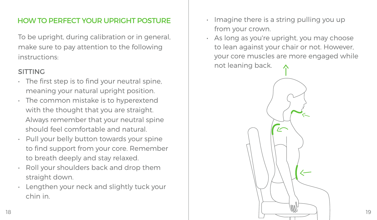To be upright, during calibration or in general, make sure to pay attention to the following instructions:

### SITTING

- $\cdot$  The first step is to find your neutral spine. meaning your natural upright position.
- The common mistake is to hyperextend with the thought that you are straight. Always remember that your neutral spine should feel comfortable and natural.
- Pull your belly button towards your spine to find support from your core. Remember to breath deeply and stay relaxed.
- Roll your shoulders back and drop them straight down.
- Lengthen your neck and slightly tuck your chin in.
- **HOW TO PERFECT YOUR UPRIGHT POSTURE**  $\qquad \qquad$  Imagine there is a string pulling you up from your crown.
	- As long as you're upright, you may choose to lean against your chair or not. However, your core muscles are more engaged while not leaning back.

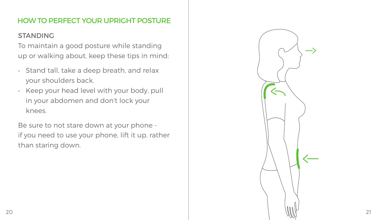# HOW TO PERFECT YOUR UPRIGHT POSTURE

# **STANDING**

To maintain a good posture while standing up or walking about, keep these tips in mind:

- Stand tall, take a deep breath, and relax your shoulders back.
- Keep your head level with your body, pull in your abdomen and don't lock your knees.

Be sure to not stare down at your phone if you need to use your phone, lift it up, rather than staring down.

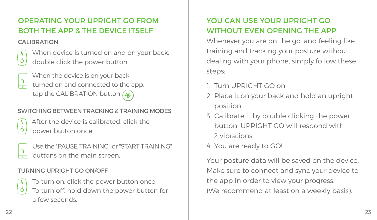# OPERATING YOUR UPRIGHT GO FROM BOTH THE APP & THE DEVICE ITSELF

#### CALIBRATION



 When device is turned on and on your back,  $\dot{\circ}$  double click the power button.

When the device is on your back,  $\frac{1}{2}$  turned on and connected to the app tap the CALIBRATION button (4)

# SWITCHING BETWEEN TRACKING & TRAINING MODES

| ۰.                                  |  |
|-------------------------------------|--|
| ٠<br>ł<br>and the state of the con- |  |

 After the device is calibrated, click the power button once.



Use the "PAUSE TRAINING" or "START TRAINING" buttons on the main screen.

# TURNING UPRIGHT GO ON/OFF



 To turn on, click the power button once. ් $\int$  To turn off, hold down the power button for a few seconds.

# YOU CAN USE YOUR UPRIGHT GO WITHOUT EVEN OPENING THE APP

Whenever you are on the go, and feeling like training and tracking your posture without dealing with your phone, simply follow these steps:

- 1. Turn UPRIGHT GO on.
- 2. Place it on your back and hold an upright position.
- 3. Calibrate it by double clicking the power button. UPRIGHT GO will respond with 2 vibrations.
- 4. You are ready to GO!

Your posture data will be saved on the device. Make sure to connect and sync your device to the app in order to view your progress. (We recommend at least on a weekly basis).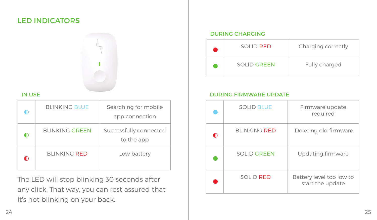# LED INDICATORS



#### IN USE

| ∩         | <b>BLINKING BLUE</b>  | Searching for mobile<br>app connection |
|-----------|-----------------------|----------------------------------------|
| $\bullet$ | <b>BLINKING GREEN</b> | Successfully connected<br>to the app   |
| ∩         | <b>BLINKING RED</b>   | Low battery                            |

The LED will stop blinking 30 seconds after any click. That way, you can rest assured that it's not blinking on your back.

#### DURING CHARGING

| SOLID RED   | Charging correctly |
|-------------|--------------------|
| SOLID GREEN | Fully charged      |

#### DURING FIRMWARE UPDATE

|   | <b>SOLID BLUE</b>   | Firmware update<br>required                  |
|---|---------------------|----------------------------------------------|
| ∩ | <b>BLINKING RED</b> | Deleting old firmware                        |
|   | SOLID GREEN         | Updating firmware                            |
|   | SOLID RED           | Battery level too low to<br>start the update |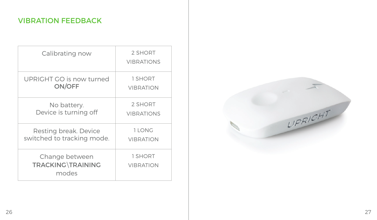# VIBRATION FEEDBACK

| Calibrating now                              | 2 SHORT<br><b>VIBRATIONS</b> |
|----------------------------------------------|------------------------------|
| UPRIGHT GO is now turned                     | 1 SHORT                      |
| ON/OFF                                       | <b>VIBRATION</b>             |
| No battery.                                  | 2 SHORT                      |
| Device is turning off                        | <b>VIBRATIONS</b>            |
| Resting break. Device                        | 1 LONG                       |
| switched to tracking mode.                   | <b>VIBRATION</b>             |
| Change between<br>TRACKING\TRAINING<br>modes | 1 SHORT<br><b>VIBRATION</b>  |

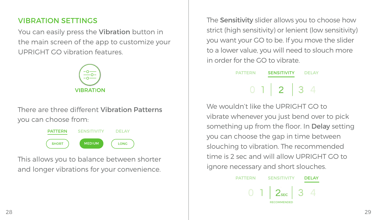# VIBRATION SETTINGS

You can easily press the Vibration button in the main screen of the app to customize your UPRIGHT GO vibration features.



There are three different Vibration Patterns you can choose from:

> **PATTERN SENSITIVITY DELAY SHORT MEDIUM** LONG

This allows you to balance between shorter and longer vibrations for your convenience. The Sensitivity slider allows you to choose how strict (high sensitivity) or lenient (low sensitivity) you want your GO to be. If you move the slider to a lower value, you will need to slouch more in order for the GO to vibrate.

PATTERN SENSITIVITY DELAY

We wouldn't like the UPRIGHT GO to vibrate whenever you just bend over to pick something up from the floor. In Delay setting you can choose the gap in time between slouching to vibration. The recommended time is 2 sec and will allow UPRIGHT GO to ignore necessary and short slouches.

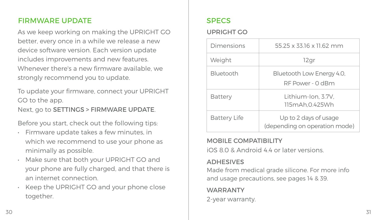# FIRMWARE UPDATE SPECS

As we keep working on making the UPRIGHT GO better, every once in a while we release a new device software version. Each version update includes improvements and new features. Whenever there's a new firmware available, we strongly recommend you to update.

To update your firmware, connect your UPRIGHT GO to the app. Next, go to SETTINGS > FIRMWARE UPDATE.

Before you start, check out the following tips:

- Firmware update takes a few minutes, in which we recommend to use your phone as minimally as possible.
- Make sure that both your UPRIGHT GO and your phone are fully charged, and that there is an internet connection.
- Keep the UPRIGHT GO and your phone close together.

### UPRIGHT GO

| Dimensions          | 55 25 x 33 16 x 11 62 mm                               |
|---------------------|--------------------------------------------------------|
| Weight              | 12gr                                                   |
| <b>Bluetooth</b>    | Bluetooth Low Energy 4.0,<br>RF Power - 0 dBm          |
| Battery             | Lithium-Ion, 3.7V.<br>115mAh.0.425Wh                   |
| <b>Battery Life</b> | Up to 2 days of usage<br>(depending on operation mode) |

#### MOBILE COMPATIBILITY

iOS 8.0 & Android 4.4 or later versions.

# ADHESIVES

Made from medical grade silicone. For more info and usage precautions, see pages 14 & 39.

# **WADDANTY**

2-year warranty.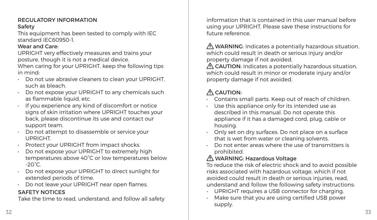#### **DEGULATORY INFORMATION** Safety

This equipment has been tested to comply with IEC standard IEC60950-1.

#### Wear and Care:

UPRIGHT very effectively measures and trains your posture, though it is not a medical device.

When caring for your UPRIGHT, keep the following tips in mind:

- Do not use abrasive cleaners to clean your UPRIGHT, such as bleach.
- Do not expose your UPRIGHT to any chemicals such as flammable liquid, etc.
- If you experience any kind of discomfort or notice signs of skin irritation where UPRIGHT touches your back, please discontinue its use and contact our support team.
- Do not attempt to disassemble or service your UPRIGHT.
- Protect your UPRIGHT from impact shocks.
- Do not expose your UPRIGHT to extremely high temperatures above 40°C or low temperatures below  $-20^{\circ}$ C.
- Do not expose your UPRIGHT to direct sunlight for extended periods of time.
- Do not leave your UPRIGHT near open flames.

### SAFETY NOTICES

Take the time to read, understand, and follow all safety

information that is contained in this user manual before using your UPRIGHT. Please save these instructions for future reference.

 WARNING: Indicates a potentially hazardous situation, which could result in death or serious injury and/or property damage if not avoided.

A CAUTION: Indicates a potentially hazardous situation. which could result in minor or moderate injury and/or property damage if not avoided.

# $\Lambda$  CAUTION:

- Contains small parts. Keep out of reach of children.
- Use this appliance only for its intended use as described in this manual. Do not operate this appliance if it has a damaged cord, plug, cable or housing.
- Only set on dry surfaces. Do not place on a surface that is wet from water or cleaning solvents.
- Do not enter areas where the use of transmitters is prohibited.

# WARNING: Hazardous Voltage

To reduce the risk of electric shock and to avoid possible risks associated with hazardous voltage, which if not avoided could result in death or serious injuries, read, understand and follow the following safety instructions:

- UPRIGHT requires a USB connector for charging.
- Make sure that you are using certified USB power supply.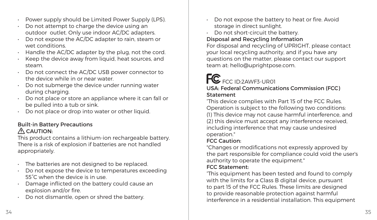- Power supply should be Limited Power Supply (LPS).
- Do not attempt to charge the device using an outdoor outlet. Only use indoor AC/DC adapters.
- Do not expose the AC/DC adapter to rain, steam or wet conditions.
- Handle the AC/DC adapter by the plug, not the cord.
- Keep the device away from liquid, heat sources, and steam.
- Do not connect the AC/DC USB power connector to the device while in or near water.
- Do not submerge the device under running water during charging.
- Do not place or store an appliance where it can fall or be pulled into a tub or sink.
- Do not place or drop into water or other liquid.

#### Built-in Battery Precautions  $A$  CAUTION:

This product contains a lithium-ion rechargeable battery. There is a risk of explosion if batteries are not handled appropriately.

- The batteries are not designed to be replaced.
- Do not expose the device to temperatures exceeding 55°C when the device is in use.
- Damage inflicted on the battery could cause an explosion and/or fire.
- Do not dismantle, open or shred the battery.
- Do not expose the battery to heat or fire. Avoid storage in direct sunlight.
- Do not short-circuit the battery.

#### Disposal and Recycling Information

For disposal and recycling of UPRIGHT, please contact your local recycling authority, and if you have any questions on the matter, please contact our support team at: hello@uprightpose.com.

# FC FCC ID:2AWF3-UR01 USA: Federal Communications Commission (FCC)

#### **Statement**

"This device complies with Part 15 of the FCC Rules. Operation is subject to the following two conditions: (1) This device may not cause harmful interference, and (2) this device must accept any interference received, including interference that may cause undesired operation."

#### FCC Caution:

"Changes or modifications not expressly approved by the part responsible for compliance could void the user's authority to operate the equipment."

#### FCC Statement:

"This equipment has been tested and found to comply with the limits for a Class B digital device, pursuant to part 15 of the FCC Rules. These limits are designed to provide reasonable protection against harmful interference in a residential installation. This equipment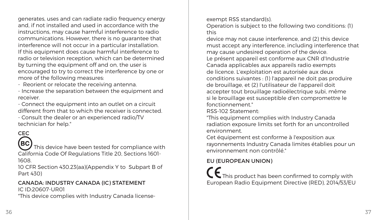generates, uses and can radiate radio frequency energy and, if not installed and used in accordance with the instructions, may cause harmful interference to radio communications. However, there is no guarantee that interference will not occur in a particular installation. If this equipment does cause harmful interference to radio or television reception, which can be determined by turning the equipment off and on, the user is encouraged to try to correct the interference by one or more of the following measures:

- Reorient or relocate the receiving antenna.

- Increase the separation between the equipment and receiver.

- Connect the equipment into an outlet on a circuit different from that to which the receiver is connected.

- Consult the dealer or an experienced radio/TV technician for help."

# **CEC**

# BC)

 $\sim$  This device have been tested for compliance with California Code Of Regulations Title 20, Sections 1601-

1608.

10 CFR Section 430.23(aa)(Appendix Y to Subpart B of Part 430)

#### CANADA: INDUSTRY CANADA (IC) STATEMENT IC ID:20607-UR01

"This device complies with Industry Canada license-

exempt RSS standard(s).

Operation is subject to the following two conditions: (1) this

device may not cause interference, and (2) this device must accept any interference, including interference that may cause undesired operation of the device.

Le présent appareil est conforme aux CNR d'Industrie Canada applicables aux appareils radio exempts de licence. L'exploitation est autorisée aux deux conditions suivantes : (1) l'appareil ne doit pas produire de brouillage, et (2) l'utilisateur de l'appareil doit accepter tout brouillage radioélectrique subi, même si le brouillage est susceptible d'en compromettre le fonctionnement."

RSS-102 Statement:

"This equipment complies with Industry Canada radiation exposure limits set forth for an uncontrolled environment.

Cet équipement est conforme à l'exposition aux rayonnements Industry Canada limites établies pour un environnement non contrôlé."

#### EU (EUROPEAN UNION)

 $\blacksquare$  This product has been confirmed to comply with European Radio Equipment Directive (RED), 2014/53/EU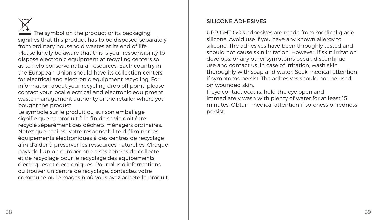The symbol on the product or its packaging signifies that this product has to be disposed separately from ordinary household wastes at its end of life. Please kindly be aware that this is your responsibility to dispose electronic equipment at recycling centers so as to help conserve natural resources. Each country in the European Union should have its collection centers for electrical and electronic equipment recycling. For information about your recycling drop off point, please contact your local electrical and electronic equipment waste management authority or the retailer where you bought the product.

Le symbole sur le produit ou sur son emballage signifie que ce produit à la fin de sa vie doit être recyclé séparément des déchets ménagers ordinaires. Notez que ceci est votre responsabilité d'éliminer les équipements électroniques à des centres de recyclage afin d'aider à préserver les ressources naturelles. Chaque pays de l'Union européenne a ses centres de collecte et de recyclage pour le recyclage des équipements électriques et électroniques. Pour plus d'informations ou trouver un centre de recyclage, contactez votre commune ou le magasin où vous avez acheté le produit.

#### SILICONE ADHESIVES

UPRIGHT GO's adhesives are made from medical grade silicone. Avoid use if you have any known allergy to silicone. The adhesives have been throughly tested and should not cause skin irritation. However, if skin irritation develops, or any other symptoms occur, discontinue use and contact us. In case of irritation, wash skin thoroughly with soap and water. Seek medical attention if symptoms persist. The adhesives should not be used on wounded skin.

If eye contact occurs, hold the eye open and immediately wash with plenty of water for at least 15 minutes. Obtain medical attention if soreness or redness persist.